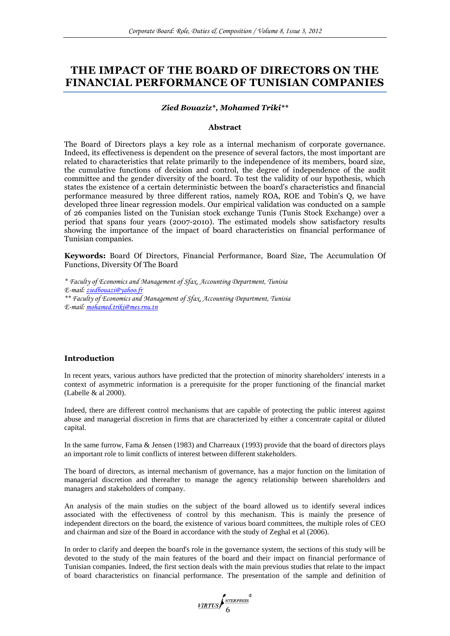# **THE IMPACT OF THE BOARD OF DIRECTORS ON THE FINANCIAL PERFORMANCE OF TUNISIAN COMPANIES**

### *Zied Bouaziz\*, Mohamed Triki\*\**

### **Abstract**

The Board of Directors plays a key role as a internal mechanism of corporate governance. Indeed, its effectiveness is dependent on the presence of several factors, the most important are related to characteristics that relate primarily to the independence of its members, board size, the cumulative functions of decision and control, the degree of independence of the audit committee and the gender diversity of the board. To test the validity of our hypothesis, which states the existence of a certain deterministic between the board's characteristics and financial performance measured by three different ratios, namely ROA, ROE and Tobin's Q, we have developed three linear regression models. Our empirical validation was conducted on a sample of 26 companies listed on the Tunisian stock exchange Tunis (Tunis Stock Exchange) over a period that spans four years (2007-2010). The estimated models show satisfactory results showing the importance of the impact of board characteristics on financial performance of Tunisian companies.

**Keywords:** Board Of Directors, Financial Performance, Board Size, The Accumulation Of Functions, Diversity Of The Board

*\* Faculty of Economics and Management of Sfax, Accounting Department, Tunisia E-mail: [ziedbouazi@yahoo.fr](mailto:ziedbouazi@yahoo.fr) \*\* Faculty of Economics and Management of Sfax, Accounting Department, Tunisia E-mail: [mohamed.triki@mes.rnu.tn](mailto:mohamed.triki@mes.rnu.tn)*

### **Introduction**

In recent years, various authors have predicted that the protection of minority shareholders' interests in a context of asymmetric information is a prerequisite for the proper functioning of the financial market (Labelle & al 2000).

Indeed, there are different control mechanisms that are capable of protecting the public interest against abuse and managerial discretion in firms that are characterized by either a concentrate capital or diluted capital.

In the same furrow, Fama & Jensen (1983) and Charreaux (1993) provide that the board of directors plays an important role to limit conflicts of interest between different stakeholders.

The board of directors, as internal mechanism of governance, has a major function on the limitation of managerial discretion and thereafter to manage the agency relationship between shareholders and managers and stakeholders of company.

An analysis of the main studies on the subject of the board allowed us to identify several indices associated with the effectiveness of control by this mechanism. This is mainly the presence of independent directors on the board, the existence of various board committees, the multiple roles of CEO and chairman and size of the Board in accordance with the study of Zeghal et al (2006).

In order to clarify and deepen the board's role in the governance system, the sections of this study will be devoted to the study of the main features of the board and their impact on financial performance of Tunisian companies. Indeed, the first section deals with the main previous studies that relate to the impact of board characteristics on financial performance. The presentation of the sample and definition of

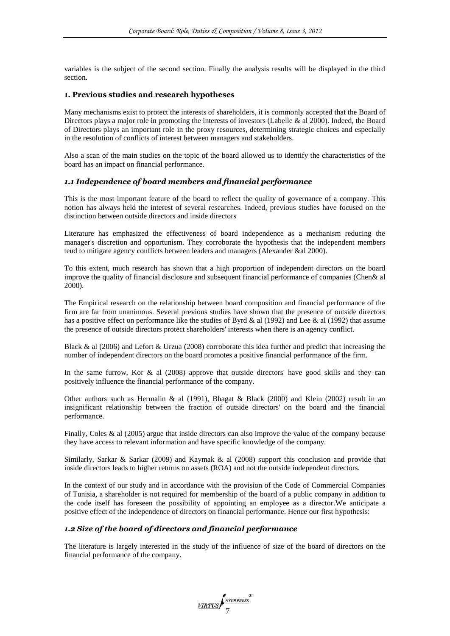variables is the subject of the second section. Finally the analysis results will be displayed in the third section.

## **1. Previous studies and research hypotheses**

Many mechanisms exist to protect the interests of shareholders, it is commonly accepted that the Board of Directors plays a major role in promoting the interests of investors (Labelle & al 2000). Indeed, the Board of Directors plays an important role in the proxy resources, determining strategic choices and especially in the resolution of conflicts of interest between managers and stakeholders.

Also a scan of the main studies on the topic of the board allowed us to identify the characteristics of the board has an impact on financial performance.

### *1.1 Independence of board members and financial performance*

This is the most important feature of the board to reflect the quality of governance of a company. This notion has always held the interest of several researches. Indeed, previous studies have focused on the distinction between outside directors and inside directors

Literature has emphasized the effectiveness of board independence as a mechanism reducing the manager's discretion and opportunism. They corroborate the hypothesis that the independent members tend to mitigate agency conflicts between leaders and managers (Alexander &al 2000).

To this extent, much research has shown that a high proportion of independent directors on the board improve the quality of financial disclosure and subsequent financial performance of companies (Chen& al 2000).

The Empirical research on the relationship between board composition and financial performance of the firm are far from unanimous. Several previous studies have shown that the presence of outside directors has a positive effect on performance like the studies of Byrd & al (1992) and Lee & al (1992) that assume the presence of outside directors protect shareholders' interests when there is an agency conflict.

Black & al (2006) and Lefort & Urzua (2008) corroborate this idea further and predict that increasing the number of independent directors on the board promotes a positive financial performance of the firm.

In the same furrow, Kor  $\&$  al (2008) approve that outside directors' have good skills and they can positively influence the financial performance of the company.

Other authors such as Hermalin & al (1991), Bhagat & Black (2000) and Klein (2002) result in an insignificant relationship between the fraction of outside directors' on the board and the financial performance.

Finally, Coles & al (2005) argue that inside directors can also improve the value of the company because they have access to relevant information and have specific knowledge of the company.

Similarly, Sarkar & Sarkar (2009) and Kaymak & al (2008) support this conclusion and provide that inside directors leads to higher returns on assets (ROA) and not the outside independent directors.

In the context of our study and in accordance with the provision of the Code of Commercial Companies of Tunisia, a shareholder is not required for membership of the board of a public company in addition to the code itself has foreseen the possibility of appointing an employee as a director.We anticipate a positive effect of the independence of directors on financial performance. Hence our first hypothesis:

# *1.2 Size of the board of directors and financial performance*

The literature is largely interested in the study of the influence of size of the board of directors on the financial performance of the company.

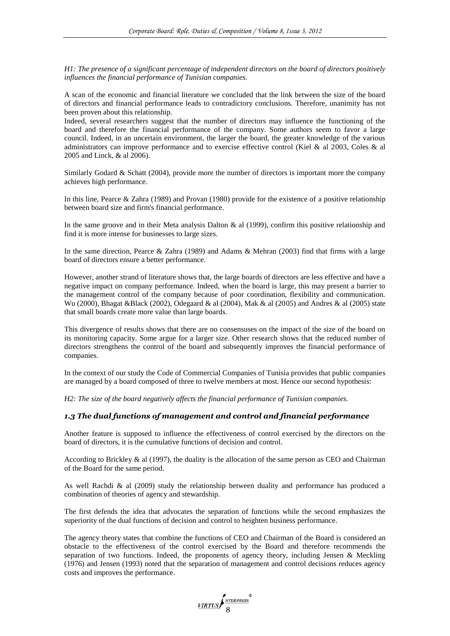*H1: The presence of a significant percentage of independent directors on the board of directors positively influences the financial performance of Tunisian companies.*

A scan of the economic and financial literature we concluded that the link between the size of the board of directors and financial performance leads to contradictory conclusions. Therefore, unanimity has not been proven about this relationship.

Indeed, several researchers suggest that the number of directors may influence the functioning of the board and therefore the financial performance of the company. Some authors seem to favor a large council. Indeed, in an uncertain environment, the larger the board, the greater knowledge of the various administrators can improve performance and to exercise effective control (Kiel & al 2003, Coles & al 2005 and Linck, & al 2006).

Similarly Godard & Schatt (2004), provide more the number of directors is important more the company achieves high performance.

In this line, Pearce & Zahra (1989) and Provan (1980) provide for the existence of a positive relationship between board size and firm's financial performance.

In the same groove and in their Meta analysis Dalton & al (1999), confirm this positive relationship and find it is more intense for businesses to large sizes.

In the same direction, Pearce & Zahra (1989) and Adams & Mehran (2003) find that firms with a large board of directors ensure a better performance.

However, another strand of literature shows that, the large boards of directors are less effective and have a negative impact on company performance. Indeed, when the board is large, this may present a barrier to the management control of the company because of poor coordination, flexibility and communication. Wu (2000), Bhagat &Black (2002), Odegaard & al (2004), Mak & al (2005) and Andres & al (2005) state that small boards create more value than large boards.

This divergence of results shows that there are no consensuses on the impact of the size of the board on its monitoring capacity. Some argue for a larger size. Other research shows that the reduced number of directors strengthens the control of the board and subsequently improves the financial performance of companies.

In the context of our study the Code of Commercial Companies of Tunisia provides that public companies are managed by a board composed of three to twelve members at most. Hence our second hypothesis:

*H2: The size of the board negatively affects the financial performance of Tunisian companies.*

### *1.3 The dual functions of management and control and financial performance*

Another feature is supposed to influence the effectiveness of control exercised by the directors on the board of directors, it is the cumulative functions of decision and control.

According to Brickley  $\&$  al (1997), the duality is the allocation of the same person as CEO and Chairman of the Board for the same period.

As well Rachdi  $\&$  al (2009) study the relationship between duality and performance has produced a combination of theories of agency and stewardship.

The first defends the idea that advocates the separation of functions while the second emphasizes the superiority of the dual functions of decision and control to heighten business performance.

The agency theory states that combine the functions of CEO and Chairman of the Board is considered an obstacle to the effectiveness of the control exercised by the Board and therefore recommends the separation of two functions. Indeed, the proponents of agency theory, including Jensen & Meckling (1976) and Jensen (1993) noted that the separation of management and control decisions reduces agency costs and improves the performance.

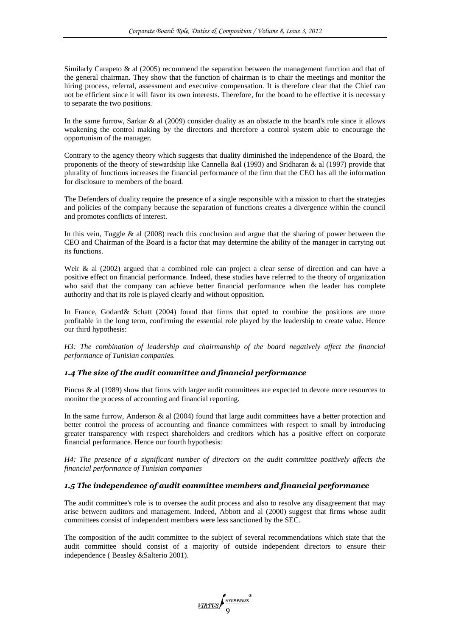Similarly Carapeto & al (2005) recommend the separation between the management function and that of the general chairman. They show that the function of chairman is to chair the meetings and monitor the hiring process, referral, assessment and executive compensation. It is therefore clear that the Chief can not be efficient since it will favor its own interests. Therefore, for the board to be effective it is necessary to separate the two positions.

In the same furrow, Sarkar & al (2009) consider duality as an obstacle to the board's role since it allows weakening the control making by the directors and therefore a control system able to encourage the opportunism of the manager.

Contrary to the agency theory which suggests that duality diminished the independence of the Board, the proponents of the theory of stewardship like Cannella &al (1993) and Sridharan & al (1997) provide that plurality of functions increases the financial performance of the firm that the CEO has all the information for disclosure to members of the board.

The Defenders of duality require the presence of a single responsible with a mission to chart the strategies and policies of the company because the separation of functions creates a divergence within the council and promotes conflicts of interest.

In this vein, Tuggle & al (2008) reach this conclusion and argue that the sharing of power between the CEO and Chairman of the Board is a factor that may determine the ability of the manager in carrying out its functions.

Weir & al (2002) argued that a combined role can project a clear sense of direction and can have a positive effect on financial performance. Indeed, these studies have referred to the theory of organization who said that the company can achieve better financial performance when the leader has complete authority and that its role is played clearly and without opposition.

In France, Godard & Schatt (2004) found that firms that opted to combine the positions are more profitable in the long term, confirming the essential role played by the leadership to create value. Hence our third hypothesis:

*H3: The combination of leadership and chairmanship of the board negatively affect the financial performance of Tunisian companies.*

## *1.4 The size of the audit committee and financial performance*

Pincus & al (1989) show that firms with larger audit committees are expected to devote more resources to monitor the process of accounting and financial reporting.

In the same furrow, Anderson & al (2004) found that large audit committees have a better protection and better control the process of accounting and finance committees with respect to small by introducing greater transparency with respect shareholders and creditors which has a positive effect on corporate financial performance. Hence our fourth hypothesis:

*H4: The presence of a significant number of directors on the audit committee positively affects the financial performance of Tunisian companies*

## *1.5 The independence of audit committee members and financial performance*

The audit committee's role is to oversee the audit process and also to resolve any disagreement that may arise between auditors and management. Indeed, Abbott and al (2000) suggest that firms whose audit committees consist of independent members were less sanctioned by the SEC.

The composition of the audit committee to the subject of several recommendations which state that the audit committee should consist of a majority of outside independent directors to ensure their independence ( Beasley &Salterio 2001).

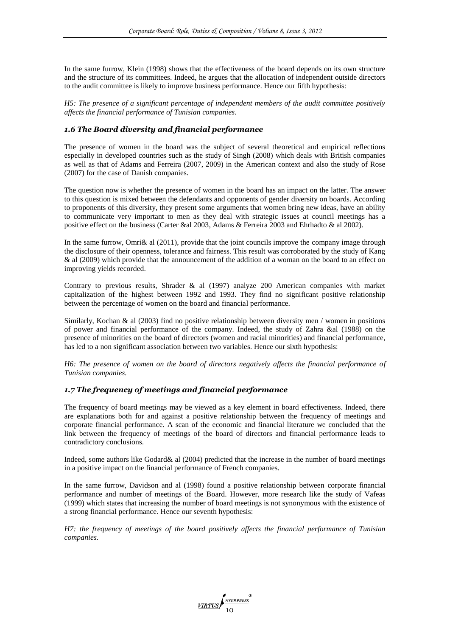In the same furrow, Klein (1998) shows that the effectiveness of the board depends on its own structure and the structure of its committees. Indeed, he argues that the allocation of independent outside directors to the audit committee is likely to improve business performance. Hence our fifth hypothesis:

*H5: The presence of a significant percentage of independent members of the audit committee positively affects the financial performance of Tunisian companies.*

# *1.6 The Board diversity and financial performance*

The presence of women in the board was the subject of several theoretical and empirical reflections especially in developed countries such as the study of Singh (2008) which deals with British companies as well as that of Adams and Ferreira (2007, 2009) in the American context and also the study of Rose (2007) for the case of Danish companies.

The question now is whether the presence of women in the board has an impact on the latter. The answer to this question is mixed between the defendants and opponents of gender diversity on boards. According to proponents of this diversity, they present some arguments that women bring new ideas, have an ability to communicate very important to men as they deal with strategic issues at council meetings has a positive effect on the business (Carter &al 2003, Adams & Ferreira 2003 and Ehrhadto & al 2002).

In the same furrow, Omri $\&$  al (2011), provide that the joint councils improve the company image through the disclosure of their openness, tolerance and fairness. This result was corroborated by the study of Kang & al (2009) which provide that the announcement of the addition of a woman on the board to an effect on improving yields recorded.

Contrary to previous results, Shrader & al (1997) analyze 200 American companies with market capitalization of the highest between 1992 and 1993. They find no significant positive relationship between the percentage of women on the board and financial performance.

Similarly, Kochan & al (2003) find no positive relationship between diversity men / women in positions of power and financial performance of the company. Indeed, the study of Zahra &al (1988) on the presence of minorities on the board of directors (women and racial minorities) and financial performance, has led to a non significant association between two variables. Hence our sixth hypothesis:

*H6: The presence of women on the board of directors negatively affects the financial performance of Tunisian companies.*

## *1.7 The frequency of meetings and financial performance*

The frequency of board meetings may be viewed as a key element in board effectiveness. Indeed, there are explanations both for and against a positive relationship between the frequency of meetings and corporate financial performance. A scan of the economic and financial literature we concluded that the link between the frequency of meetings of the board of directors and financial performance leads to contradictory conclusions.

Indeed, some authors like Godard& al (2004) predicted that the increase in the number of board meetings in a positive impact on the financial performance of French companies.

In the same furrow, Davidson and al (1998) found a positive relationship between corporate financial performance and number of meetings of the Board. However, more research like the study of Vafeas (1999) which states that increasing the number of board meetings is not synonymous with the existence of a strong financial performance. Hence our seventh hypothesis:

*H7: the frequency of meetings of the board positively affects the financial performance of Tunisian companies.*

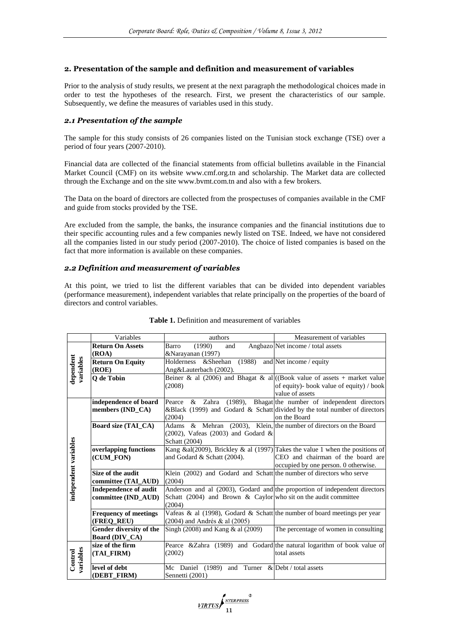### **2. Presentation of the sample and definition and measurement of variables**

Prior to the analysis of study results, we present at the next paragraph the methodological choices made in order to test the hypotheses of the research. First, we present the characteristics of our sample. Subsequently, we define the measures of variables used in this study.

### *2.1 Presentation of the sample*

The sample for this study consists of 26 companies listed on the Tunisian stock exchange (TSE) over a period of four years (2007-2010).

Financial data are collected of the financial statements from official bulletins available in the Financial Market Council (CMF) on its website www.cmf.org.tn and scholarship. The Market data are collected through the Exchange and on the site www.bvmt.com.tn and also with a few brokers.

The Data on the board of directors are collected from the prospectuses of companies available in the CMF and guide from stocks provided by the TSE.

Are excluded from the sample, the banks, the insurance companies and the financial institutions due to their specific accounting rules and a few companies newly listed on TSE. Indeed, we have not considered all the companies listed in our study period (2007-2010). The choice of listed companies is based on the fact that more information is available on these companies.

### *2.2 Definition and measurement of variables*

At this point, we tried to list the different variables that can be divided into dependent variables (performance measurement), independent variables that relate principally on the properties of the board of directors and control variables.

|                        | Variables                    | authors                                                                   | Measurement of variables                                                     |
|------------------------|------------------------------|---------------------------------------------------------------------------|------------------------------------------------------------------------------|
|                        | <b>Return On Assets</b>      | (1990)<br>and<br>Barro                                                    | Angbazo Net income / total assets                                            |
|                        | (ROA)                        | &Narayanan (1997)                                                         |                                                                              |
|                        | <b>Return On Equity</b>      | (1988)<br>Holderness & Sheehan                                            | and Net income / equity                                                      |
|                        | (ROE)                        | Ang&Lauterbach (2002).                                                    |                                                                              |
| dependent<br>variables | Q de Tobin                   |                                                                           | Beiner & al (2006) and Bhagat & al ((Book value of assets + market value     |
|                        |                              | (2008)                                                                    | of equity)- book value of equity) / book                                     |
|                        |                              |                                                                           | value of assets                                                              |
|                        | independence of board        | $(1989)$ ,<br>& Zahra<br>Pearce                                           | Bhagat the number of independent directors                                   |
|                        | members (IND_CA)             |                                                                           | &Black (1999) and Godard & Schatt divided by the total number of directors   |
|                        |                              | (2004)                                                                    | on the Board                                                                 |
|                        | <b>Board size (TAL_CA)</b>   | Adams $\&$ Mehran (2003), Klein, the number of directors on the Board     |                                                                              |
|                        |                              | $(2002)$ , Vafeas $(2003)$ and Godard &                                   |                                                                              |
|                        |                              | Schatt (2004)                                                             |                                                                              |
|                        | overlapping functions        |                                                                           | Kang &al(2009), Brickley & al (1997) Takes the value 1 when the positions of |
|                        | (CUM_FON)                    | and Godard & Schatt (2004).                                               | CEO and chairman of the board are                                            |
|                        |                              |                                                                           | occupied by one person. 0 otherwise.                                         |
| independent variables  | Size of the audit            | Klein (2002) and Godard and Schatt the number of directors who serve      |                                                                              |
|                        | committee (TAL_AUD)          | (2004)                                                                    |                                                                              |
|                        | <b>Independence of audit</b> |                                                                           | Anderson and al (2003), Godard and the proportion of independent directors   |
|                        | committee (IND_AUD)          | Schatt (2004) and Brown & Caylor who sit on the audit committee           |                                                                              |
|                        |                              | (2004)                                                                    |                                                                              |
|                        | <b>Frequency of meetings</b> | Vafeas & al (1998), Godard & Schatt the number of board meetings per year |                                                                              |
|                        | (FREQ_REU)                   | (2004) and Andrés & al (2005)                                             |                                                                              |
|                        | Gender diversity of the      | Singh $(2008)$ and Kang & al $(2009)$                                     | The percentage of women in consulting                                        |
|                        | Board (DIV_CA)               |                                                                           |                                                                              |
|                        | size of the firm             |                                                                           | Pearce &Zahra (1989) and Godard the natural logarithm of book value of       |
|                        | (TAI FIRM)                   | (2002)                                                                    | total assets                                                                 |
| variables<br>Control   |                              |                                                                           |                                                                              |
|                        | level of debt                | Mc Daniel (1989)                                                          | and Turner & Debt / total assets                                             |
|                        | (DEBT FIRM)                  | Sennetti (2001)                                                           |                                                                              |

|  | <b>Table 1.</b> Definition and measurement of variables |
|--|---------------------------------------------------------|
|--|---------------------------------------------------------|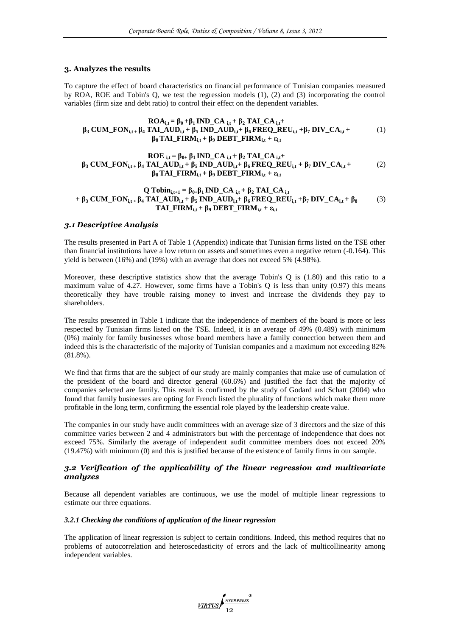#### **3. Analyzes the results**

To capture the effect of board characteristics on financial performance of Tunisian companies measured by ROA, ROE and Tobin's Q, we test the regression models (1), (2) and (3) incorporating the control variables (firm size and debt ratio) to control their effect on the dependent variables.

#### $\text{ROA}_{i,t} = \beta_0 + \beta_1 \text{IND\_CA}_{i,t} + \beta_2 \text{TAI\_CA}_{i,t} + \beta_3 \text{TAI\_CA}_{i,t}$  $\beta_3$  **CUM\_FON**<sub>i,t +</sub>  $\beta_4$  **TAI\_AUD**<sub>i,t</sub> +  $\beta_5$  **IND\_AUD**<sub>i,t</sub>+  $\beta_6$  **FREQ\_REU**<sub>i,t</sub> +  $\beta_7$  **DIV\_CA**<sub>i,t</sub> + **β<sup>8</sup> TAI\_FIRMi,t + β<sup>9</sup> DEBT\_FIRMi,t + εi,t** (1)

```
ROE _{i,t} = \beta_{0+} \beta_1 IND CA _{i,t} + \beta_2 TAI CA<sub> i,t</sub>+
\beta_3 CUM_FON<sub>it+</sub> \beta_4 TAL_AUD<sub>it</sub>+ \beta_5 IND_AUD<sub>it</sub>+ \beta_6 FREQ_REU<sub>it</sub>+ \beta_7 DIV_CA<sub>it</sub>+
                                  β8 TAI_FIRMi,t + β9 DEBT_FIRMi,t + εi,t
                                                                                                                                                  (2)
```
#### $Q$  **Tobin**<sub>i,t+1</sub> =  $\beta_{0+}\beta_1$  **IND\_CA** <sub>i,t</sub> +  $\beta_2$  **TAI\_CA** <sub>i,t</sub> +  $\beta_3$  CUM\_FON<sub>it</sub>+ $\beta_4$  TAI\_AUD<sub>it</sub>+ $\beta_5$  IND\_AUD<sub>it</sub>+ $\beta_6$  FREQ\_REU<sub>it</sub>+ $\beta_7$  DIV\_CA<sub>it</sub>+ $\beta_8$ **TAI\_FIRMi,t + β<sup>9</sup> DEBT\_FIRMi,t + εi,t** (3)

#### *3.1 Descriptive Analysis*

The results presented in Part A of Table 1 (Appendix) indicate that Tunisian firms listed on the TSE other than financial institutions have a low return on assets and sometimes even a negative return (-0.164). This yield is between (16%) and (19%) with an average that does not exceed 5% (4.98%).

Moreover, these descriptive statistics show that the average Tobin's Q is (1.80) and this ratio to a maximum value of 4.27. However, some firms have a Tobin's Q is less than unity (0.97) this means theoretically they have trouble raising money to invest and increase the dividends they pay to shareholders.

The results presented in Table 1 indicate that the independence of members of the board is more or less respected by Tunisian firms listed on the TSE. Indeed, it is an average of 49% (0.489) with minimum (0%) mainly for family businesses whose board members have a family connection between them and indeed this is the characteristic of the majority of Tunisian companies and a maximum not exceeding 82% (81.8%).

We find that firms that are the subject of our study are mainly companies that make use of cumulation of the president of the board and director general (60.6%) and justified the fact that the majority of companies selected are family. This result is confirmed by the study of Godard and Schatt (2004) who found that family businesses are opting for French listed the plurality of functions which make them more profitable in the long term, confirming the essential role played by the leadership create value.

The companies in our study have audit committees with an average size of 3 directors and the size of this committee varies between 2 and 4 administrators but with the percentage of independence that does not exceed 75%. Similarly the average of independent audit committee members does not exceed 20% (19.47%) with minimum (0) and this is justified because of the existence of family firms in our sample.

### *3.2 Verification of the applicability of the linear regression and multivariate analyzes*

Because all dependent variables are continuous, we use the model of multiple linear regressions to estimate our three equations.

#### *3.2.1 Checking the conditions of application of the linear regression*

The application of linear regression is subject to certain conditions. Indeed, this method requires that no problems of autocorrelation and heteroscedasticity of errors and the lack of multicollinearity among independent variables.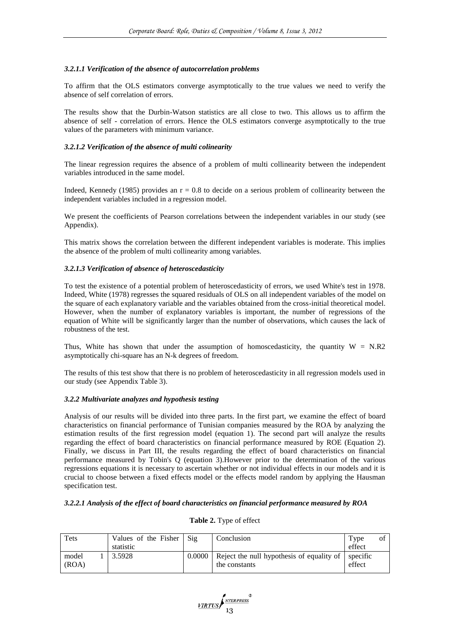### *3.2.1.1 Verification of the absence of autocorrelation problems*

To affirm that the OLS estimators converge asymptotically to the true values we need to verify the absence of self correlation of errors.

The results show that the Durbin-Watson statistics are all close to two. This allows us to affirm the absence of self - correlation of errors. Hence the OLS estimators converge asymptotically to the true values of the parameters with minimum variance.

### *3.2.1.2 Verification of the absence of multi colinearity*

The linear regression requires the absence of a problem of multi collinearity between the independent variables introduced in the same model.

Indeed, Kennedy (1985) provides an  $r = 0.8$  to decide on a serious problem of collinearity between the independent variables included in a regression model.

We present the coefficients of Pearson correlations between the independent variables in our study (see Appendix).

This matrix shows the correlation between the different independent variables is moderate. This implies the absence of the problem of multi collinearity among variables.

### *3.2.1.3 Verification of absence of heteroscedasticity*

To test the existence of a potential problem of heteroscedasticity of errors, we used White's test in 1978. Indeed, White (1978) regresses the squared residuals of OLS on all independent variables of the model on the square of each explanatory variable and the variables obtained from the cross-initial theoretical model. However, when the number of explanatory variables is important, the number of regressions of the equation of White will be significantly larger than the number of observations, which causes the lack of robustness of the test.

Thus, White has shown that under the assumption of homoscedasticity, the quantity  $W = N.R2$ asymptotically chi-square has an N-k degrees of freedom.

The results of this test show that there is no problem of heteroscedasticity in all regression models used in our study (see Appendix Table 3).

### *3.2.2 Multivariate analyzes and hypothesis testing*

Analysis of our results will be divided into three parts. In the first part, we examine the effect of board characteristics on financial performance of Tunisian companies measured by the ROA by analyzing the estimation results of the first regression model (equation 1). The second part will analyze the results regarding the effect of board characteristics on financial performance measured by ROE (Equation 2). Finally, we discuss in Part III, the results regarding the effect of board characteristics on financial performance measured by Tobin's Q (equation 3).However prior to the determination of the various regressions equations it is necessary to ascertain whether or not individual effects in our models and it is crucial to choose between a fixed effects model or the effects model random by applying the Hausman specification test.

### *3.2.2.1 Analysis of the effect of board characteristics on financial performance measured by ROA*

| Tets           | Values of the Fisher<br>statistic | Si <sub>2</sub> | Conclusion                                                 | Type<br>effect     | ΟÌ |
|----------------|-----------------------------------|-----------------|------------------------------------------------------------|--------------------|----|
| model<br>(ROA) | 3.5928                            | 0.0000          | Reject the null hypothesis of equality of<br>the constants | specific<br>effect |    |

### **Table 2.** Type of effect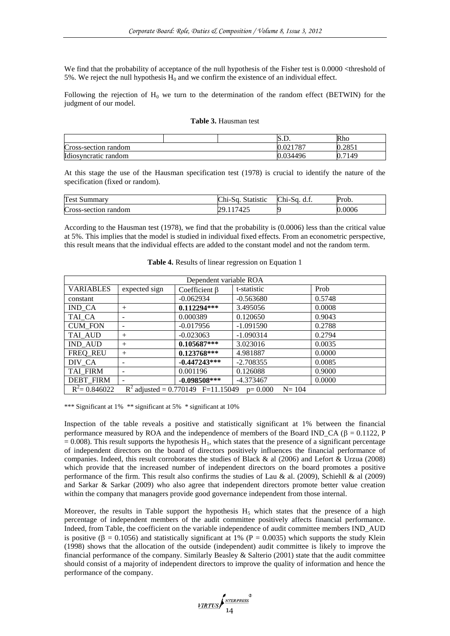We find that the probability of acceptance of the null hypothesis of the Fisher test is 0.0000 <threshold of 5%. We reject the null hypothesis  $H_0$  and we confirm the existence of an individual effect.

Following the rejection of  $H_0$  we turn to the determination of the random effect (BETWIN) for the judgment of our model.

#### **Table 3.** Hausman test

|                      |  |  | N.L.          | Rho                             |
|----------------------|--|--|---------------|---------------------------------|
| Cross-section random |  |  | 0.021787      | .005<br><sup>o</sup><br>U.ZOJ 1 |
| Idiosyncratic random |  |  | 034496<br>v.v | ∩<br>7149<br>υ.                 |

At this stage the use of the Hausman specification test (1978) is crucial to identify the nature of the specification (fixed or random).

| Test<br>summarv      | Chi-.<br>Statistic<br>-Sa | Chi<br>-Sa<br>u.i. | Prob.  |
|----------------------|---------------------------|--------------------|--------|
| Cross-section random | 1425<br>29                |                    | 0.0006 |

According to the Hausman test (1978), we find that the probability is (0.0006) less than the critical value at 5%. This implies that the model is studied in individual fixed effects. From an econometric perspective, this result means that the individual effects are added to the constant model and not the random term.

| Dependent variable ROA |                                                                |                     |             |        |  |  |
|------------------------|----------------------------------------------------------------|---------------------|-------------|--------|--|--|
| <b>VARIABLES</b>       | expected sign                                                  | Coefficient $\beta$ | t-statistic | Prob   |  |  |
| constant               |                                                                | $-0.062934$         | $-0.563680$ | 0.5748 |  |  |
| IND CA                 | $^{+}$                                                         | $0.112294***$       | 3.495056    | 0.0008 |  |  |
| TAI CA                 |                                                                | 0.000389            | 0.120650    | 0.9043 |  |  |
| <b>CUM FON</b>         |                                                                | $-0.017956$         | $-1.091590$ | 0.2788 |  |  |
| TAI_AUD                | $^{+}$                                                         | $-0.023063$         | $-1.090314$ | 0.2794 |  |  |
| IND AUD                | $^{+}$                                                         | $0.105687***$       | 3.023016    | 0.0035 |  |  |
| FREQ_REU               | $^{+}$                                                         | $0.123768***$       | 4.981887    | 0.0000 |  |  |
| DIV CA                 |                                                                | $-0.447243***$      | $-2.708355$ | 0.0085 |  |  |
| <b>TAI FIRM</b>        |                                                                | 0.001196            | 0.126088    | 0.9000 |  |  |
| <b>DEBT FIRM</b>       |                                                                | $-0.098508***$      | -4.373467   | 0.0000 |  |  |
| $R^2$ = 0.846022       | $R^2$ adjusted = 0.770149 F=11.15049<br>$N = 104$<br>$p=0.000$ |                     |             |        |  |  |

**Table 4.** Results of linear regression on Equation 1

\*\*\* Significant at 1% \*\* significant at 5% \* significant at 10%

Inspection of the table reveals a positive and statistically significant at 1% between the financial performance measured by ROA and the independence of members of the Board IND CA ( $\beta = 0.1122$ , P  $= 0.008$ ). This result supports the hypothesis  $H_1$ , which states that the presence of a significant percentage of independent directors on the board of directors positively influences the financial performance of companies. Indeed, this result corroborates the studies of Black & al (2006) and Lefort & Urzua (2008) which provide that the increased number of independent directors on the board promotes a positive performance of the firm. This result also confirms the studies of Lau & al. (2009), Schiehll & al (2009) and Sarkar & Sarkar (2009) who also agree that independent directors promote better value creation within the company that managers provide good governance independent from those internal.

Moreover, the results in Table support the hypothesis  $H_5$  which states that the presence of a high percentage of independent members of the audit committee positively affects financial performance. Indeed, from Table, the coefficient on the variable independence of audit committee members IND\_AUD is positive ( $\beta = 0.1056$ ) and statistically significant at 1% ( $P = 0.0035$ ) which supports the study Klein (1998) shows that the allocation of the outside (independent) audit committee is likely to improve the financial performance of the company. Similarly Beasley & Salterio (2001) state that the audit committee should consist of a majority of independent directors to improve the quality of information and hence the performance of the company.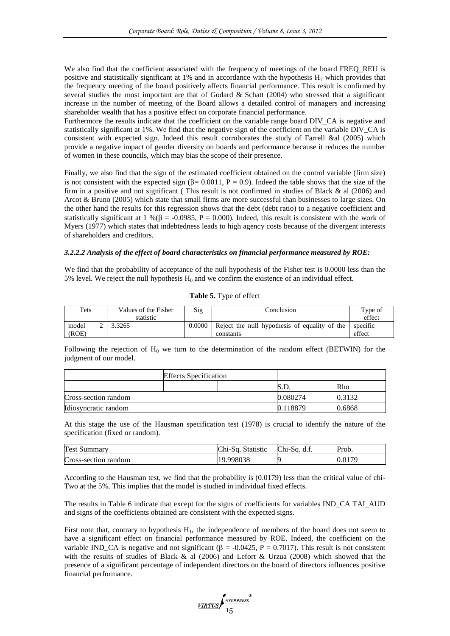We also find that the coefficient associated with the frequency of meetings of the board FREQ\_REU is positive and statistically significant at 1% and in accordance with the hypothesis  $H_7$  which provides that the frequency meeting of the board positively affects financial performance. This result is confirmed by several studies the most important are that of Godard & Schatt (2004) who stressed that a significant increase in the number of meeting of the Board allows a detailed control of managers and increasing shareholder wealth that has a positive effect on corporate financial performance.

Furthermore the results indicate that the coefficient on the variable range board DIV CA is negative and statistically significant at 1%. We find that the negative sign of the coefficient on the variable DIV CA is consistent with expected sign. Indeed this result corroborates the study of Farrell &al (2005) which provide a negative impact of gender diversity on boards and performance because it reduces the number of women in these councils, which may bias the scope of their presence.

Finally, we also find that the sign of the estimated coefficient obtained on the control variable (firm size) is not consistent with the expected sign  $(8= 0.0011, P = 0.9)$ . Indeed the table shows that the size of the firm in a positive and not significant ( This result is not confirmed in studies of Black & al (2006) and Arcot & Bruno (2005) which state that small firms are more successful than businesses to large sizes. On the other hand the results for this regression shows that the debt (debt ratio) to a negative coefficient and statistically significant at 1 %( $\beta$  = -0.0985, P = 0.000). Indeed, this result is consistent with the work of Myers (1977) which states that indebtedness leads to high agency costs because of the divergent interests of shareholders and creditors.

### *3.2.2.2 Analysis of the effect of board characteristics on financial performance measured by ROE:*

We find that the probability of acceptance of the null hypothesis of the Fisher test is 0.0000 less than the 5% level. We reject the null hypothesis  $H_0$  and we confirm the existence of an individual effect.

| Tets          | Values of the Fisher<br>statistic | Sig    | Conclusion                                                          | Type of<br>effect |
|---------------|-----------------------------------|--------|---------------------------------------------------------------------|-------------------|
| model<br>(ROE | 3.3265                            | 0.0000 | Reject the null hypothesis of equality of the specific<br>constants | effect            |

### **Table 5.** Type of effect

Following the rejection of  $H_0$  we turn to the determination of the random effect (BETWIN) for the judgment of our model.

|                      | <b>Effects Specification</b> |  |          |        |
|----------------------|------------------------------|--|----------|--------|
|                      |                              |  |          | Rho    |
| Cross-section random |                              |  | 0.080274 | 0.3132 |
| Idiosyncratic random |                              |  | 0.118879 | 0.6868 |

At this stage the use of the Hausman specification test (1978) is crucial to identify the nature of the specification (fixed or random).

| <b>Test Summary</b>  | Chi-Sa.<br><b>Statistic</b> | Chi-Sa.<br>u.i. | Prob. |
|----------------------|-----------------------------|-----------------|-------|
| Cross-section random | 19.998038                   |                 | 0170  |

According to the Hausman test, we find that the probability is (0.0179) less than the critical value of chi-Two at the 5%. This implies that the model is studied in individual fixed effects.

The results in Table 6 indicate that except for the signs of coefficients for variables IND\_CA TAI\_AUD and signs of the coefficients obtained are consistent with the expected signs.

First note that, contrary to hypothesis  $H_1$ , the independence of members of the board does not seem to have a significant effect on financial performance measured by ROE. Indeed, the coefficient on the variable IND\_CA is negative and not significant ( $\beta = -0.0425$ , P = 0.7017). This result is not consistent with the results of studies of Black & al  $(2006)$  and Lefort & Urzua  $(2008)$  which showed that the presence of a significant percentage of independent directors on the board of directors influences positive financial performance.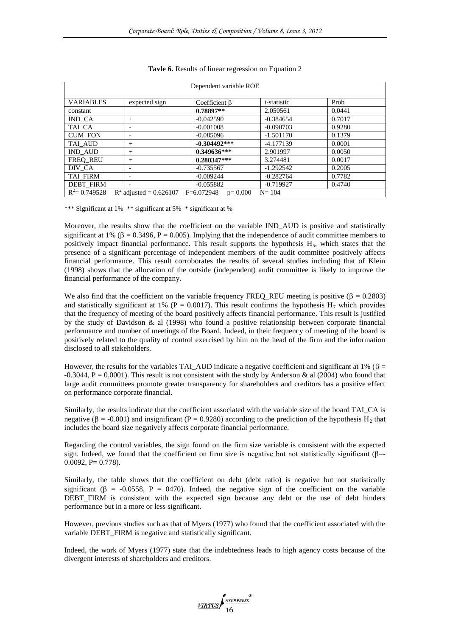| Dependent variable ROE |                           |                             |             |        |  |
|------------------------|---------------------------|-----------------------------|-------------|--------|--|
| <b>VARIABLES</b>       | expected sign             | Coefficient $\beta$         | t-statistic | Prob   |  |
| constant               |                           | $0.78897**$                 | 2.050561    | 0.0441 |  |
| IND CA                 | $^{+}$                    | $-0.042590$                 | $-0.384654$ | 0.7017 |  |
| TAI CA                 |                           | $-0.001008$                 | $-0.090703$ | 0.9280 |  |
| <b>CUM FON</b>         | $\overline{\phantom{0}}$  | $-0.085096$                 | $-1.501170$ | 0.1379 |  |
| TAI AUD                | $^{+}$                    | $-0.304492***$              | $-4.177139$ | 0.0001 |  |
| <b>IND AUD</b>         | $^{+}$                    | $0.349636***$               | 2.901997    | 0.0050 |  |
| <b>FREO REU</b>        | $^{+}$                    | $0.280347***$               | 3.274481    | 0.0017 |  |
| DIV CA                 | $\overline{\phantom{0}}$  | $-0.735567$                 | $-1.292542$ | 0.2005 |  |
| <b>TAI FIRM</b>        | $\overline{\phantom{0}}$  | $-0.009244$                 | $-0.282764$ | 0.7782 |  |
| <b>DEBT FIRM</b>       |                           | $-0.055882$                 | $-0.719927$ | 0.4740 |  |
| $R^2$ = 0.749528       | $R^2$ adjusted = 0.626107 | $F=6.072948$<br>$p = 0.000$ | $N = 104$   |        |  |

\*\*\* Significant at 1% \*\* significant at 5% \* significant at %

Moreover, the results show that the coefficient on the variable IND\_AUD is positive and statistically significant at 1% ( $\beta = 0.3496$ ,  $P = 0.005$ ). Implying that the independence of audit committee members to positively impact financial performance. This result supports the hypothesis  $H<sub>5</sub>$ , which states that the presence of a significant percentage of independent members of the audit committee positively affects financial performance. This result corroborates the results of several studies including that of Klein (1998) shows that the allocation of the outside (independent) audit committee is likely to improve the financial performance of the company.

We also find that the coefficient on the variable frequency FREO REU meeting is positive ( $\beta = 0.2803$ ) and statistically significant at 1% ( $P = 0.0017$ ). This result confirms the hypothesis H<sub>7</sub> which provides that the frequency of meeting of the board positively affects financial performance. This result is justified by the study of Davidson & al (1998) who found a positive relationship between corporate financial performance and number of meetings of the Board. Indeed, in their frequency of meeting of the board is positively related to the quality of control exercised by him on the head of the firm and the information disclosed to all stakeholders.

However, the results for the variables TAI\_AUD indicate a negative coefficient and significant at 1% ( $\beta$  =  $-0.3044$ ,  $P = 0.0001$ ). This result is not consistent with the study by Anderson & al (2004) who found that large audit committees promote greater transparency for shareholders and creditors has a positive effect on performance corporate financial.

Similarly, the results indicate that the coefficient associated with the variable size of the board TAI\_CA is negative ( $\beta = -0.001$ ) and insignificant ( $P = 0.9280$ ) according to the prediction of the hypothesis H<sub>2</sub> that includes the board size negatively affects corporate financial performance.

Regarding the control variables, the sign found on the firm size variable is consistent with the expected sign. Indeed, we found that the coefficient on firm size is negative but not statistically significant (β=-  $0.0092$ , P=  $0.778$ ).

Similarly, the table shows that the coefficient on debt (debt ratio) is negative but not statistically significant ( $\beta$  = -0.0558, P = 0470). Indeed, the negative sign of the coefficient on the variable DEBT FIRM is consistent with the expected sign because any debt or the use of debt hinders performance but in a more or less significant.

However, previous studies such as that of Myers (1977) who found that the coefficient associated with the variable DEBT\_FIRM is negative and statistically significant.

Indeed, the work of Myers (1977) state that the indebtedness leads to high agency costs because of the divergent interests of shareholders and creditors.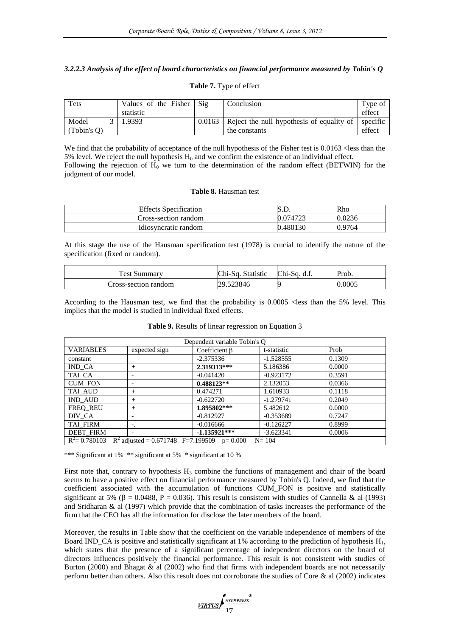*3.2.2.3 Analysis of the effect of board characteristics on financial performance measured by Tobin's Q*

| Tets                 | Values of the Fisher<br>statistic | $\mathrm{Sig}$ | Conclusion                                                                   | Type of<br>effect |
|----------------------|-----------------------------------|----------------|------------------------------------------------------------------------------|-------------------|
| Model<br>(Tobin's O) | 1.9393                            |                | $0.0163$ Reject the null hypothesis of equality of specific<br>the constants | effect            |

| Table 7. Type of effect |
|-------------------------|
|-------------------------|

We find that the probability of acceptance of the null hypothesis of the Fisher test is 0.0163 <less than the 5% level. We reject the null hypothesis  $H_0$  and we confirm the existence of an individual effect. Following the rejection of  $H_0$  we turn to the determination of the random effect (BETWIN) for the judgment of our model.

#### **Table 8.** Hausman test

| <b>Effects Specification</b> | S.D.     | Rho    |
|------------------------------|----------|--------|
| Cross-section random         | 0.074723 | 0.0236 |
| Idiosyncratic random         | 0.480130 | 0.9764 |

At this stage the use of the Hausman specification test (1978) is crucial to identify the nature of the specification (fixed or random).

| <b>Test Summary</b> | Chi-Sq. Statistic | Chi-Sa.<br>.u.f | Prob.  |
|---------------------|-------------------|-----------------|--------|
| ross-section random | 29.523846         |                 | 0.0005 |

According to the Hausman test, we find that the probability is 0.0005 <less than the 5% level. This implies that the model is studied in individual fixed effects.

| Dependent variable Tobin's Q                                                         |                          |                     |             |        |  |  |
|--------------------------------------------------------------------------------------|--------------------------|---------------------|-------------|--------|--|--|
| <b>VARIABLES</b>                                                                     | expected sign            | Coefficient $\beta$ | t-statistic | Prob   |  |  |
| constant                                                                             |                          | $-2.375336$         | $-1.528555$ | 0.1309 |  |  |
| IND CA                                                                               | $^{+}$                   | 2.319313***         | 5.186386    | 0.0000 |  |  |
| TAI CA                                                                               |                          | $-0.041420$         | $-0.923172$ | 0.3591 |  |  |
| <b>CUM FON</b>                                                                       |                          | $0.488123**$        | 2.132053    | 0.0366 |  |  |
| TAI AUD                                                                              | $^{+}$                   | 0.474271            | 1.610933    | 0.1118 |  |  |
| <b>IND_AUD</b>                                                                       | $^{+}$                   | $-0.622720$         | $-1.279741$ | 0.2049 |  |  |
| <b>FREQ_REU</b>                                                                      | $^{+}$                   | 1.895802***         | 5.482612    | 0.0000 |  |  |
| DIV_CA                                                                               | $\overline{\phantom{a}}$ | $-0.812927$         | $-0.353689$ | 0.7247 |  |  |
| <b>TAI FIRM</b>                                                                      | Ξ.                       | $-0.016666$         | $-0.126227$ | 0.8999 |  |  |
| <b>DEBT FIRM</b>                                                                     |                          | $-1.135921***$      | $-3.623341$ | 0.0006 |  |  |
| $R^2$ = 0.780103<br>$R^2$ adjusted = 0.671748 $F=7.199509$<br>$N = 104$<br>$p=0.000$ |                          |                     |             |        |  |  |

**Table 9.** Results of linear regression on Equation 3

\*\*\* Significant at 1% \*\* significant at 5% \* significant at 10 %

First note that, contrary to hypothesis  $H_3$  combine the functions of management and chair of the board seems to have a positive effect on financial performance measured by Tobin's Q. Indeed, we find that the coefficient associated with the accumulation of functions CUM\_FON is positive and statistically significant at 5% ( $\beta$  = 0.0488, P = 0.036). This result is consistent with studies of Cannella & al (1993) and Sridharan & al (1997) which provide that the combination of tasks increases the performance of the firm that the CEO has all the information for disclose the later members of the board.

Moreover, the results in Table show that the coefficient on the variable independence of members of the Board IND\_CA is positive and statistically significant at 1% according to the prediction of hypothesis  $H_1$ , which states that the presence of a significant percentage of independent directors on the board of directors influences positively the financial performance. This result is not consistent with studies of Burton (2000) and Bhagat  $\&$  al (2002) who find that firms with independent boards are not necessarily perform better than others. Also this result does not corroborate the studies of Core & al (2002) indicates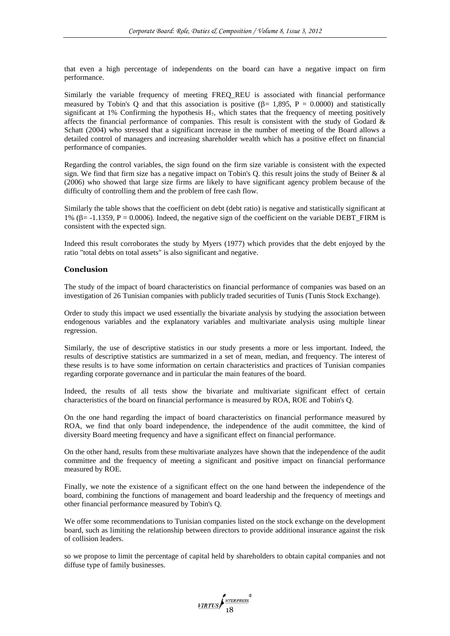that even a high percentage of independents on the board can have a negative impact on firm performance.

Similarly the variable frequency of meeting FREQ\_REU is associated with financial performance measured by Tobin's O and that this association is positive  $(\beta = 1.895, P = 0.0000)$  and statistically significant at 1% Confirming the hypothesis  $H_7$ , which states that the frequency of meeting positively affects the financial performance of companies. This result is consistent with the study of Godard & Schatt (2004) who stressed that a significant increase in the number of meeting of the Board allows a detailed control of managers and increasing shareholder wealth which has a positive effect on financial performance of companies.

Regarding the control variables, the sign found on the firm size variable is consistent with the expected sign. We find that firm size has a negative impact on Tobin's Q. this result joins the study of Beiner & al (2006) who showed that large size firms are likely to have significant agency problem because of the difficulty of controlling them and the problem of free cash flow.

Similarly the table shows that the coefficient on debt (debt ratio) is negative and statistically significant at 1% ( $\beta$ = -1.1359, P = 0.0006). Indeed, the negative sign of the coefficient on the variable DEBT\_FIRM is consistent with the expected sign.

Indeed this result corroborates the study by Myers (1977) which provides that the debt enjoyed by the ratio "total debts on total assets" is also significant and negative.

### **Conclusion**

The study of the impact of board characteristics on financial performance of companies was based on an investigation of 26 Tunisian companies with publicly traded securities of Tunis (Tunis Stock Exchange).

Order to study this impact we used essentially the bivariate analysis by studying the association between endogenous variables and the explanatory variables and multivariate analysis using multiple linear regression.

Similarly, the use of descriptive statistics in our study presents a more or less important. Indeed, the results of descriptive statistics are summarized in a set of mean, median, and frequency. The interest of these results is to have some information on certain characteristics and practices of Tunisian companies regarding corporate governance and in particular the main features of the board.

Indeed, the results of all tests show the bivariate and multivariate significant effect of certain characteristics of the board on financial performance is measured by ROA, ROE and Tobin's Q.

On the one hand regarding the impact of board characteristics on financial performance measured by ROA, we find that only board independence, the independence of the audit committee, the kind of diversity Board meeting frequency and have a significant effect on financial performance.

On the other hand, results from these multivariate analyzes have shown that the independence of the audit committee and the frequency of meeting a significant and positive impact on financial performance measured by ROE.

Finally, we note the existence of a significant effect on the one hand between the independence of the board, combining the functions of management and board leadership and the frequency of meetings and other financial performance measured by Tobin's Q.

We offer some recommendations to Tunisian companies listed on the stock exchange on the development board, such as limiting the relationship between directors to provide additional insurance against the risk of collision leaders.

so we propose to limit the percentage of capital held by shareholders to obtain capital companies and not diffuse type of family businesses.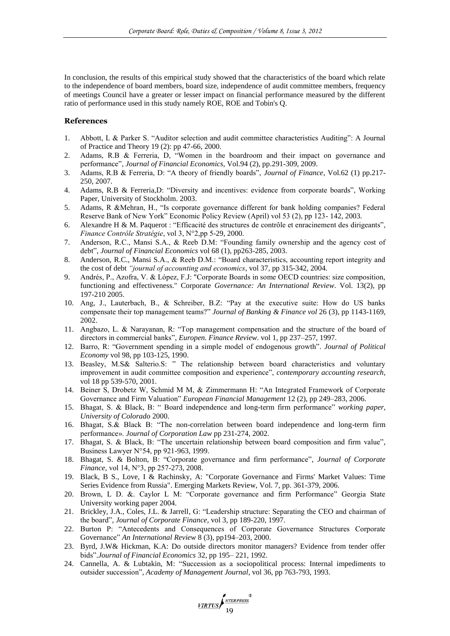In conclusion, the results of this empirical study showed that the characteristics of the board which relate to the independence of board members, board size, independence of audit committee members, frequency of meetings Council have a greater or lesser impact on financial performance measured by the different ratio of performance used in this study namely ROE, ROE and Tobin's Q.

## **References**

- 1. Abbott, L & Parker S. "Auditor selection and audit committee characteristics Auditing": A Journal of Practice and Theory 19 (2): pp 47-66, 2000.
- 2. Adams, R.B & Ferreria, D, "Women in the boardroom and their impact on governance and performance", *Journal of Financial Economics*, Vol.94 (2), pp.291-309, 2009.
- 3. Adams, R.B & Ferreria, D: "A theory of friendly boards", *Journal of Finance*, Vol.62 (1) pp.217- 250, 2007.
- 4. Adams, R.B & Ferreria,D: "Diversity and incentives: evidence from corporate boards", Working Paper, University of Stockholm. 2003.
- 5. Adams, R &Mehran, H., "Is corporate governance different for bank holding companies? Federal Reserve Bank of New York" Economic Policy Review (April) vol 53 (2), pp 123- 142, 2003.
- 6. Alexandre H & M. Paquerot : "Efficacité des structures de contrôle et enracinement des dirigeants", *Finance Contrôle Stratégie*, vol 3, N°2,pp 5-29, 2000.
- 7. Anderson, R.C., Mansi S.A., & Reeb D.M: "Founding family ownership and the agency cost of debt", *Journal of Financial Economics* vol 68 (1), pp263-285, 2003.
- 8. Anderson, R.C., Mansi S.A., & Reeb D.M.: "Board characteristics, accounting report integrity and the cost of debt *"journal of accounting and economics*, vol 37, pp 315-342, 2004.
- 9. Andrés, P., Azofra, V. & López, F.J: "Corporate Boards in some OECD countries: size composition, functioning and effectiveness." Corporate *Governance: An International Review*. Vol. 13(2), pp 197-210 2005.
- 10. Ang, J., Lauterbach, B., & Schreiber, B.Z: "Pay at the executive suite: How do US banks compensate their top management teams?" *Journal of Banking & Finance vol* 26 (3), pp 1143-1169, 2002.
- 11. Angbazo, L. & Narayanan, R: "Top management compensation and the structure of the board of directors in commercial banks", *Europen. Finance Review*. vol 1, pp 237–257, 1997.
- 12. Barro, R: "Government spending in a simple model of endogenous growth". *Journal of Political Economy* vol 98, pp 103-125, 1990.
- 13. Beasley, M.S& Salterio.S: " The relationship between board characteristics and voluntary improvement in audit committee composition and experience", *contemporary accounting research,* vol 18 pp 539-570, 2001.
- 14. Beiner S, Drobetz W, Schmid M M, & Zimmermann H: "An Integrated Framework of Corporate Governance and Firm Valuation" *European Financial Management* 12 (2), pp 249–283, 2006.
- 15. Bhagat, S. & Black, B: " Board independence and long-term firm performance" *working paper, University of Colorado* 2000.
- 16. Bhagat, S.& Black B: "The non-correlation between board independence and long-term firm performance». *Journal of Corporation Law* pp 231-274, 2002.
- 17. Bhagat, S. & Black, B: "The uncertain relationship between board composition and firm value", Business Lawyer N°54, pp 921-963, 1999.
- 18. Bhagat, S. & Bolton, B: "Corporate governance and firm performance", *Journal of Corporate Finance*, vol 14,  $N^{\circ}$ 3, pp 257-273, 2008.
- 19. Black, B S., Love, I & Rachinsky, A: "Corporate Governance and Firms' Market Values: Time Series Evidence from Russia". Emerging Markets Review, Vol. 7, pp. 361-379, 2006.
- 20. Brown, L D. &. Caylor L M: "Corporate governance and firm Performance" Georgia State University working paper 2004.
- 21. Brickley, J.A., Coles, J.L. & Jarrell, G: "Leadership structure: Separating the CEO and chairman of the board", *Journal of Corporate Finance,* vol 3, pp 189-220, 1997.
- 22. Burton P: "Antecedents and Consequences of Corporate Governance Structures Corporate Governance" *An International Review* 8 (3), pp194–203, 2000.
- 23. Byrd, J.W& Hickman, K.A: Do outside directors monitor managers? Evidence from tender offer bids".*Journal of Financial Economics* 32, pp 195– 221, 1992.
- 24. Cannella, A. & Lubtakin, M: "Succession as a sociopolitical process: Internal impediments to outsider succession", *Academy of Management Journal*, vol 36, pp 763-793, 1993.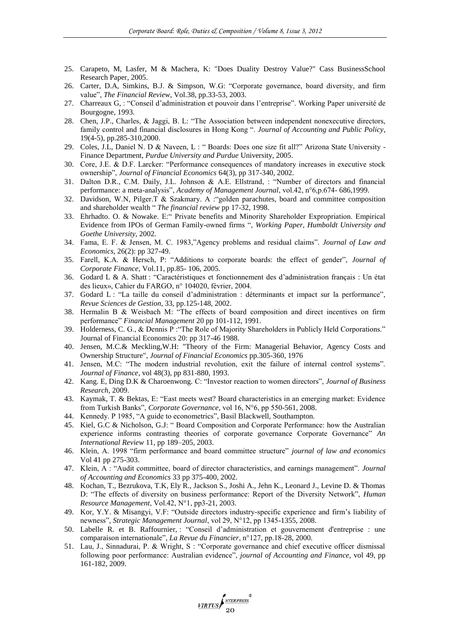- 25. Carapeto, M, Lasfer, M & Machera, K: "Does Duality Destroy Value?" Cass BusinessSchool Research Paper, 2005.
- 26. Carter, D.A, Simkins, B.J. & Simpson, W.G: "Corporate governance, board diversity, and firm value", *The Financial Review*, Vol.38, pp.33-53, 2003.
- 27. Charreaux G, : "Conseil d'administration et pouvoir dans l'entreprise". Working Paper université de Bourgogne, 1993.
- 28. Chen, J.P., Charles, & Jaggi, B. L: "The Association between independent nonexecutive directors, family control and financial disclosures in Hong Kong ". *Journal of Accounting and Public Policy*, 19(4-5), pp.285-310,2000.
- 29. Coles, J.L, Daniel N. D & Naveen, L : " Boards: Does one size fit all?" Arizona State University Finance Department, *Purdue University and Purdue* University, 2005.
- 30. Core, J.E. & D.F. Larcker: "Performance consequences of mandatory increases in executive stock ownership", *Journal of Financial Economics* 64(3), pp 317-340, 2002.
- 31. Dalton D.R., C.M. Daily, J.L. Johnson & A.E. Ellstrand, : "Number of directors and financial performance: a meta-analysis", *Academy of Management Journal*, vol.42, n°6,p.674- 686,1999.
- 32. Davidson, W.N, Pilger.T & Szakmary. A :"golden parachutes, board and committee composition and shareholder wealth " *The financial review* pp 17-32, 1998.
- 33. Ehrhadto. O. & Nowake. E:" Private benefits and Minority Shareholder Expropriation. Empirical Evidence from IPOs of German Family-owned firms ", *Working Paper, Humboldt University and Goethe University,* 2002.
- 34. Fama, E. F. & Jensen, M. C. 1983,"Agency problems and residual claims". *Journal of Law and Economics*, 26(2): pp 327-49.
- 35. Farell, K.A. & Hersch, P: "Additions to corporate boards: the effect of gender", *Journal of Corporate Finance*, Vol.11, pp.85- 106, 2005.
- 36. Godard L & A. Shatt : "Caractéristiques et fonctionnement des d'administration français : Un état des lieux», Cahier du FARGO, n° 104020, février, 2004.
- 37. Godard L : "La taille du conseil d'administration : déterminants et impact sur la performance", *Revue Sciences de Gestion*, 33, pp.125-148, 2002.
- 38. Hermalin B & Weisbach M: "The effects of board composition and direct incentives on firm performance" *Financial Management* 20 pp 101-112, 1991.
- 39. Holderness, C. G., & Dennis P :"The Role of Majority Shareholders in Publicly Held Corporations." Journal of Financial Economics 20: pp 317-46 1988.
- 40. Jensen, M.C.& Meckling,W.H: "Theory of the Firm: Managerial Behavior, Agency Costs and Ownership Structure", *Journal of Financial Economics* pp.305-360, 1976
- 41. Jensen, M.C: "The modern industrial revolution, exit the failure of internal control systems". *Journal of Finance*, vol 48(3), pp 831-880, 1993.
- 42. Kang. E, Ding D.K & Charoenwong. C: "Investor reaction to women directors", *Journal of Business Research*, 2009.
- 43. Kaymak, T. & Bektas, E: "East meets west? Board characteristics in an emerging market: Evidence from Turkish Banks", *Corporate Governance,* vol 16, N°6, pp 550-561, 2008.
- 44. Kennedy. P 1985, "A guide to econometrics", Basil Blackwell, Southampton.
- 45. Kiel, G.C & Nicholson, G.J: " Board Composition and Corporate Performance: how the Australian experience informs contrasting theories of corporate governance Corporate Governance" *An International Review* 11, pp 189–205, 2003.
- 46. Klein, A. 1998 "firm performance and board committee structure" *journal of law and economics* Vol 41 pp 275-303.
- 47. Klein, A : "Audit committee, board of director characteristics, and earnings management". *Journal of Accounting and Economics* 33 pp 375-400, 2002.
- 48. Kochan, T., Bezrukova, T.K, Ely R., Jackson S., Joshi A., Jehn K., Leonard J., Levine D. & Thomas D: "The effects of diversity on business performance: Report of the Diversity Network", *Human Resource Management*, Vol.42, N°1, pp3-21, 2003.
- 49. Kor, Y.Y. & Misangyi, V.F: "Outside directors industry-specific experience and firm's liability of newness", *Strategic Management Journal*, vol 29, N°12, pp 1345-1355, 2008.
- 50. Labelle R. et B. Raffournier, : "Conseil d'administration et gouvernement d'entreprise : une comparaison internationale", *La Revue du Financier*, n°127, pp.18-28, 2000.
- 51. Lau, J., Sinnadurai, P. & Wright, S : "Corporate governance and chief executive officer dismissal following poor performance: Australian evidence", *journal of Accounting and Finance,* vol 49, pp 161-182, 2009.